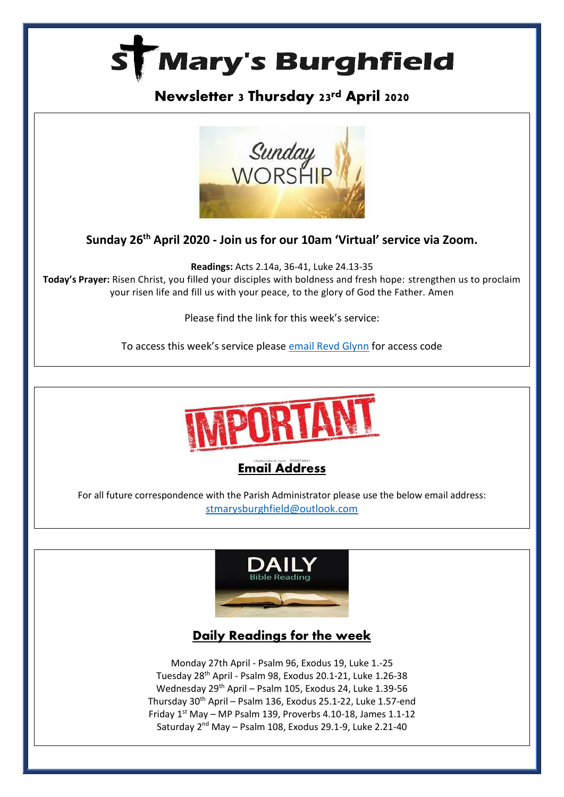

# **Newsletter 3 Thursday 23rd April 2020**



**Sunday 26th April 2020 - Join us for our 10am 'Virtual' service via Zoom.**

**Readings:** Acts 2.14a, 36-41, Luke 24.13-35 **Today's Prayer:** Risen Christ, you filled your disciples with boldness and fresh hope: strengthen us to proclaim your risen life and fill us with your peace, to the glory of God the Father. Amen

Please find the link for this week's service:

To access this week's service please [email Revd Glynn](mailto:Revd%20Glynn%20Lautenbach%20%3cglynn.lautenbach@stmarysburghfield.org%3e?subject=Sunday%20service%20Zoom%20access%20code%20) for access code





For all future correspondence with the Parish Administrator please use the below email address: [stmarysburghfield@outlook.com](mailto:stmarysburghfield@outlook.com)



# **Daily Readings for the week**

Monday 27th April - Psalm 96, Exodus 19, Luke 1.-25 Tuesday 28th April - Psalm 98, Exodus 20.1-21, Luke 1.26-38 Wednesday 29th April – Psalm 105, Exodus 24, Luke 1.39-56 Thursday 30<sup>th</sup> April - Psalm 136, Exodus 25.1-22, Luke 1.57-end Friday  $1<sup>st</sup>$  May – MP Psalm 139, Proverbs 4.10-18, James 1.1-12 Saturday 2<sup>nd</sup> May - Psalm 108, Exodus 29.1-9, Luke 2.21-40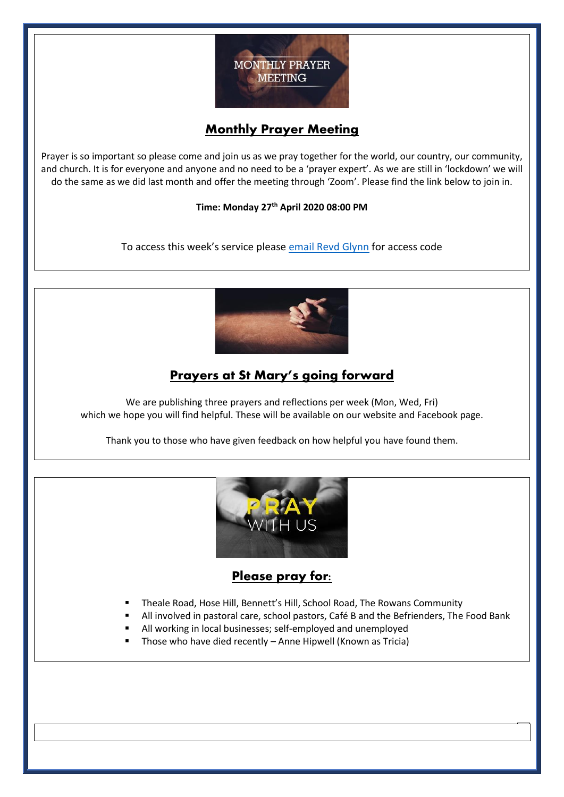

## **Monthly Prayer Meeting**

Prayer is so important so please come and join us as we pray together for the world, our country, our community, and church. It is for everyone and anyone and no need to be a 'prayer expert'. As we are still in 'lockdown' we will do the same as we did last month and offer the meeting through 'Zoom'. Please find the link below to join in.

#### **Time: Monday 27th April 2020 08:00 PM**

To access this week's service please [email Revd Glynn](mailto:Revd%20Glynn%20Lautenbach%20%3cglynn.lautenbach@stmarysburghfield.org%3e?subject=Sunday%20service%20Zoom%20access%20code%20) for access code



## **Prayers at St Mary's going forward**

We are publishing three prayers and reflections per week (Mon, Wed, Fri) which we hope you will find helpful. These will be available on our website and Facebook page.

Thank you to those who have given feedback on how helpful you have found them.



### Please pray for:

- Theale Road, Hose Hill, Bennett's Hill, School Road, The Rowans Community
- All involved in pastoral care, school pastors, Café B and the Befrienders, The Food Bank
- All working in local businesses; self-employed and unemployed
- Those who have died recently Anne Hipwell (Known as Tricia)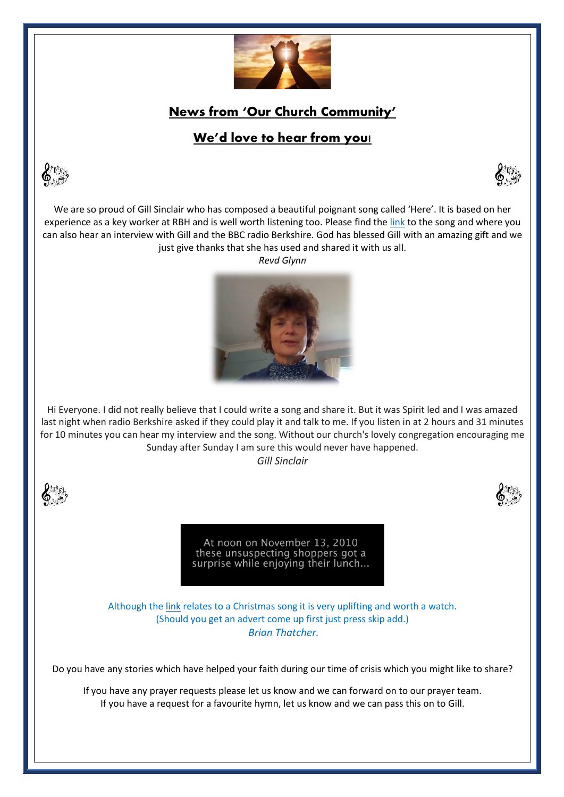

**News from 'Our Church Community'** 

# **We'd love to hear from you!**







We are so proud of Gill Sinclair who has composed a beautiful poignant song called 'Here'. It is based on her experience as a key worker at RBH and is well worth listening too. Please find th[e link](https://l.facebook.com/l.php?u=https%3A%2F%2Fwww.bbc.co.uk%2Fsounds%2Fplay%2Fp088vk6x&h=AT2LlaOCCoy-EJ6aM0eQwyYJLuEVZVwsbn7nRiBbUJo45-R1ht8Zky6Ss-g0RlwvNJXJWCw3vx_wgmkjmPrplQ-H2LjsOhvaxWxS1J28P385Tmpynds39QxWhRpw6C4f432fCZeArvqw6hAld2n6ye_HIG0by8w-N6nFPmkrQX2tCuP_ivuJ8jNSCbze8yRSo01LHOzKEp346UhkrsbbxsM5eu1LEoC1rkdKOAY-5lDJ-zbY5rbRNMSN8mQRG9Ysiw-iRG0iDMrxqLxrh8qKSZbtW6IQXOQgMlIHbQ2eJR1M-xPgkfFN7WZ0aqpPItoYL7Oa26VrMAtPLGEfJ-Qx6NvR1ouLw0YfReCixwr-Rlnp_rJBX4N4I11fn1RJZvarj4ynWeb58nyvwVHpz1W80qKn2vFZRczEjhr-tPWM0E6DLYLDh_2dzRBSZ_coX_0Ke0vhXIkIxuDRkA61y2Wwjm4yYnYLnxRdgkCI-V4W8bxEKeSVl7jrI3inftXKQd5lbbbzAOCtNnfpDoT-qLUiu4SpcFL7ZDWKlY-iLXGV6KSm_3ZKEZC6P0LNu8qHgkhLbPpRTGA3vP2xR2Yy7QAA5lq7l6qgE8QpUfrltRwozj1O52vKHEZ4t0DkYOaRsUhgtHGEu1Xt5JukdYikgYa_) to the song and where you can also hear an interview with Gill and the BBC radio Berkshire. God has blessed Gill with an amazing gift and we just give thanks that she has used and shared it with us all.

*Revd Glynn* 



Hi Everyone. I did not really believe that I could write a song and share it. But it was Spirit led and I was amazed last night when radio Berkshire asked if they could play it and talk to me. If you listen in at 2 hours and 31 minutes for 10 minutes you can hear my interview and the song. Without our church's lovely congregation encouraging me Sunday after Sunday I am sure this would never have happened.

*Gill Sinclair* 



At noon on November 13, 2010 these unsuspecting shoppers got a surprise while enjoying their lunch...

Although the [link](https://nam05.safelinks.protection.outlook.com/?url=https%3A%2F%2Fwww.youtube.com%2Fwatch%3Fv%3DSXh7JR9oKVE&data=02%7C01%7C%7C9e4f528339e64d9c0a1e08d7e6af844b%7C84df9e7fe9f640afb435aaaaaaaaaaaa%7C1%7C0%7C637231513825738882&sdata=E42h7wbSSND5j3w%2FoF%2Bic2KvvaVZwVHB7SnyMsTXXSA%3D&reserved=0) relates to a Christmas song it is very uplifting and worth a watch. (Should you get an advert come up first just press skip add.) *Brian Thatcher.* 

Do you have any stories which have helped your faith during our time of crisis which you might like to share?

If you have any prayer requests please let us know and we can forward on to our prayer team. If you have a request for a favourite hymn, let us know and we can pass this on to Gill.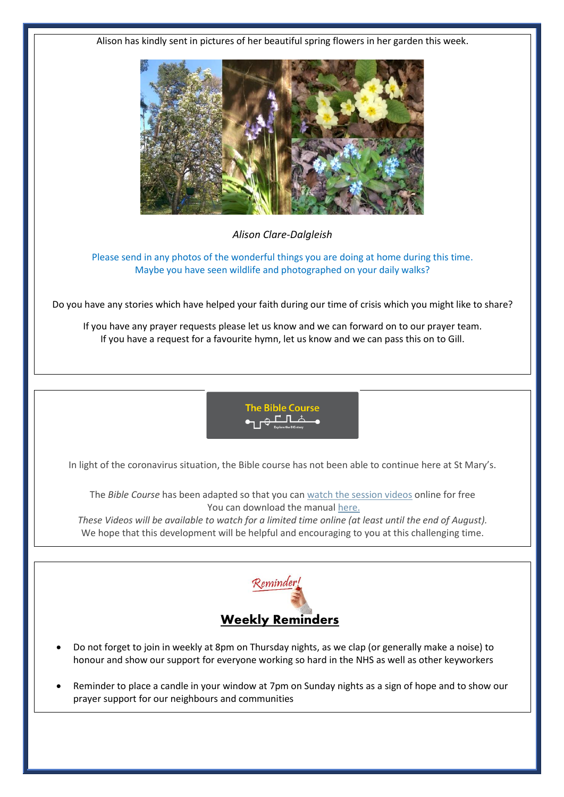Alison has kindly sent in pictures of her beautiful spring flowers in her garden this week.



*Alison Clare-Dalgleish*

Please send in any photos of the wonderful things you are doing at home during this time. Maybe you have seen wildlife and photographed on your daily walks?

Do you have any stories which have helped your faith during our time of crisis which you might like to share?

If you have any prayer requests please let us know and we can forward on to our prayer team. If you have a request for a favourite hymn, let us know and we can pass this on to Gill.



In light of the coronavirus situation, the Bible course has not been able to continue here at St Mary's.

The *Bible Course* has been adapted so that you can [watch the session videos](https://nam10.safelinks.protection.outlook.com/?url=https%3A%2F%2Fbiblesociety.cmail20.com%2Ft%2Fr-l-jhdukltd-ociikituu-y%2F&data=02%7C01%7C%7Cfd57895af51f4733569f08d7db934f7b%7C84df9e7fe9f640afb435aaaaaaaaaaaa%7C1%7C0%7C637219298040927676&sdata=0mtSFb%2FiBgKymiy5gKIQ5nx8eolQj7TI2g63ZPqCB%2BA%3D&reserved=0) online for free You can download the manual [here.](https://nam10.safelinks.protection.outlook.com/?url=https%3A%2F%2Fbiblesociety.cmail20.com%2Ft%2Fr-l-jhdukltd-ociikituu-j%2F&data=02%7C01%7C%7Cfd57895af51f4733569f08d7db934f7b%7C84df9e7fe9f640afb435aaaaaaaaaaaa%7C1%7C0%7C637219298040927676&sdata=WfKTIQ1j87TpMkYLpyuIsrDYJDsve9t8g3WHUIFTMdk%3D&reserved=0)

These Videos will be available to watch for a limited time online (at least until the end of August). We hope that this development will be helpful and encouraging to you at this challenging time.



- Do not forget to join in weekly at 8pm on Thursday nights, as we clap (or generally make a noise) to honour and show our support for everyone working so hard in the NHS as well as other keyworkers
- Reminder to place a candle in your window at 7pm on Sunday nights as a sign of hope and to show our prayer support for our neighbours and communities